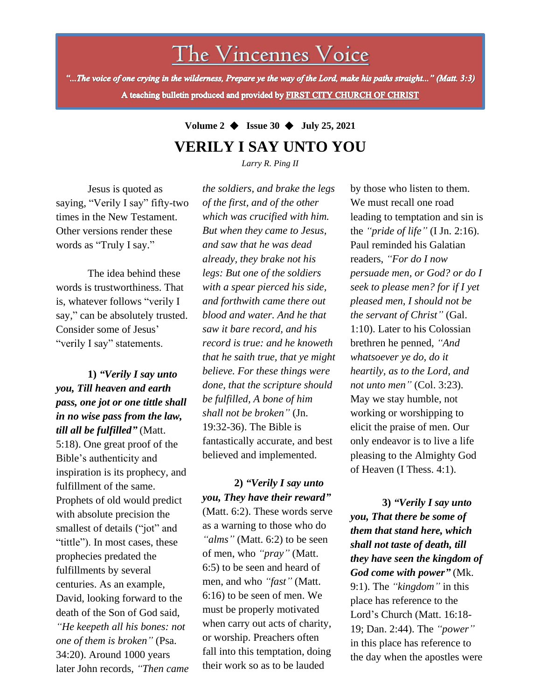The Vincennes Voice

"...The voice of one crying in the wilderness, Prepare ye the way of the Lord, make his paths straight..." (Matt. 3:3) A teaching bulletin produced and provided by FIRST CITY CHURCH OF CHRIST

## **Volume 2** ◆ **Issue 30** ◆ **July 25, 2021 VERILY I SAY UNTO YOU**

*Larry R. Ping II*

Jesus is quoted as saying, "Verily I say" fifty-two times in the New Testament. Other versions render these words as "Truly I say."

The idea behind these words is trustworthiness. That is, whatever follows "verily I say," can be absolutely trusted. Consider some of Jesus' "verily I say" statements.

death of the Son of God said, **1)** *"Verily I say unto you, Till heaven and earth pass, one jot or one tittle shall in no wise pass from the law, till all be fulfilled"* (Matt. 5:18). One great proof of the Bible's authenticity and inspiration is its prophecy, and fulfillment of the same. Prophets of old would predict with absolute precision the smallest of details ("jot" and "tittle"). In most cases, these prophecies predated the fulfillments by several centuries. As an example, David, looking forward to the *"He keepeth all his bones: not one of them is broken"* (Psa. 34:20). Around 1000 years later John records, *"Then came* *the soldiers, and brake the legs of the first, and of the other which was crucified with him. But when they came to Jesus, and saw that he was dead already, they brake not his legs: But one of the soldiers with a spear pierced his side, and forthwith came there out blood and water. And he that saw it bare record, and his record is true: and he knoweth that he saith true, that ye might believe. For these things were done, that the scripture should be fulfilled, A bone of him shall not be broken"* (Jn. 19:32-36). The Bible is fantastically accurate, and best believed and implemented.

**2)** *"Verily I say unto you, They have their reward"* (Matt. 6:2). These words serve as a warning to those who do *"alms"* (Matt. 6:2) to be seen of men, who *"pray"* (Matt. 6:5) to be seen and heard of men, and who *"fast"* (Matt. 6:16) to be seen of men. We must be properly motivated when carry out acts of charity, or worship. Preachers often fall into this temptation, doing their work so as to be lauded

by those who listen to them. We must recall one road leading to temptation and sin is the *"pride of life"* (I Jn. 2:16). Paul reminded his Galatian readers, *"For do I now persuade men, or God? or do I seek to please men? for if I yet pleased men, I should not be the servant of Christ"* (Gal. 1:10). Later to his Colossian brethren he penned, *"And whatsoever ye do, do it heartily, as to the Lord, and not unto men"* (Col. 3:23). May we stay humble, not working or worshipping to elicit the praise of men. Our only endeavor is to live a life pleasing to the Almighty God of Heaven (I Thess. 4:1).

**3)** *"Verily I say unto you, That there be some of them that stand here, which shall not taste of death, till they have seen the kingdom of God come with power"* (Mk. 9:1). The *"kingdom"* in this place has reference to the Lord's Church (Matt. 16:18- 19; Dan. 2:44). The *"power"* in this place has reference to the day when the apostles were